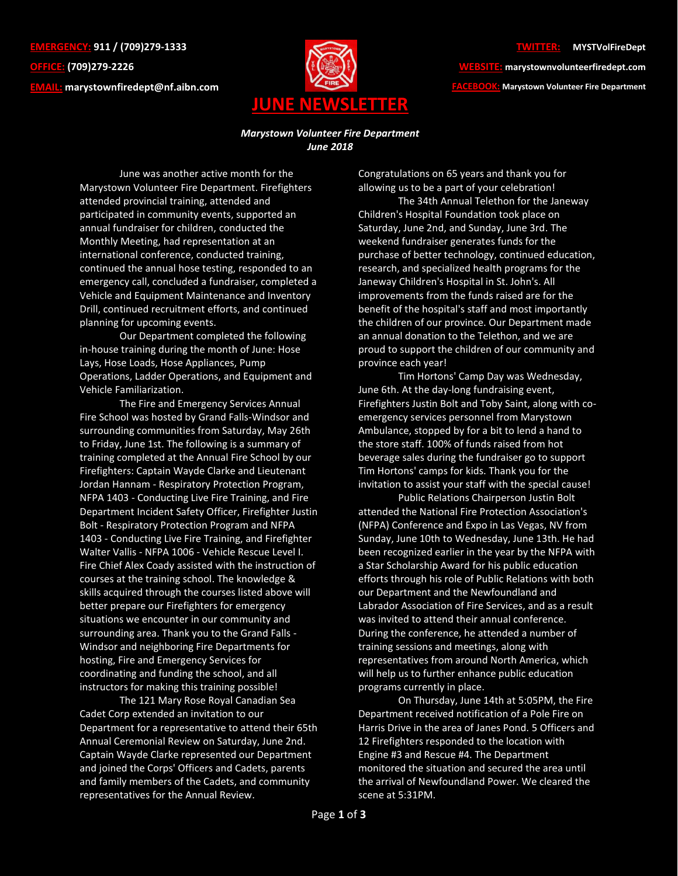**EMERGENCY: 911 / (709)279-1333 OFFICE: (709)279-2226 EMAIL: [marystownfiredept@nf.aibn.com](mailto:marystownfiredept@nf.aibn.com)**



**WEBSITE: marystownvolunteerfiredept.com FACEBOOK: Marystown Volunteer Fire Department**

## *Marystown Volunteer Fire Department June 2018*

June was another active month for the Marystown Volunteer Fire Department. Firefighters attended provincial training, attended and participated in community events, supported an annual fundraiser for children, conducted the Monthly Meeting, had representation at an international conference, conducted training, continued the annual hose testing, responded to an emergency call, concluded a fundraiser, completed a Vehicle and Equipment Maintenance and Inventory Drill, continued recruitment efforts, and continued planning for upcoming events.

Our Department completed the following in-house training during the month of June: Hose Lays, Hose Loads, Hose Appliances, Pump Operations, Ladder Operations, and Equipment and Vehicle Familiarization.

The Fire and Emergency Services Annual Fire School was hosted by Grand Falls-Windsor and surrounding communities from Saturday, May 26th to Friday, June 1st. The following is a summary of training completed at the Annual Fire School by our Firefighters: Captain Wayde Clarke and Lieutenant Jordan Hannam - Respiratory Protection Program, NFPA 1403 - Conducting Live Fire Training, and Fire Department Incident Safety Officer, Firefighter Justin Bolt - Respiratory Protection Program and NFPA 1403 - Conducting Live Fire Training, and Firefighter Walter Vallis - NFPA 1006 - Vehicle Rescue Level I. Fire Chief Alex Coady assisted with the instruction of courses at the training school. The knowledge & skills acquired through the courses listed above will better prepare our Firefighters for emergency situations we encounter in our community and surrounding area. Thank you to the Grand Falls - Windsor and neighboring Fire Departments for hosting, Fire and Emergency Services for coordinating and funding the school, and all instructors for making this training possible!

The 121 Mary Rose Royal Canadian Sea Cadet Corp extended an invitation to our Department for a representative to attend their 65th Annual Ceremonial Review on Saturday, June 2nd. Captain Wayde Clarke represented our Department and joined the Corps' Officers and Cadets, parents and family members of the Cadets, and community representatives for the Annual Review.

Congratulations on 65 years and thank you for allowing us to be a part of your celebration!

The 34th Annual Telethon for the Janeway Children's Hospital Foundation took place on Saturday, June 2nd, and Sunday, June 3rd. The weekend fundraiser generates funds for the purchase of better technology, continued education, research, and specialized health programs for the Janeway Children's Hospital in St. John's. All improvements from the funds raised are for the benefit of the hospital's staff and most importantly the children of our province. Our Department made an annual donation to the Telethon, and we are proud to support the children of our community and province each year!

Tim Hortons' Camp Day was Wednesday, June 6th. At the day-long fundraising event, Firefighters Justin Bolt and Toby Saint, along with coemergency services personnel from Marystown Ambulance, stopped by for a bit to lend a hand to the store staff. 100% of funds raised from hot beverage sales during the fundraiser go to support Tim Hortons' camps for kids. Thank you for the invitation to assist your staff with the special cause!

Public Relations Chairperson Justin Bolt attended the National Fire Protection Association's (NFPA) Conference and Expo in Las Vegas, NV from Sunday, June 10th to Wednesday, June 13th. He had been recognized earlier in the year by the NFPA with a Star Scholarship Award for his public education efforts through his role of Public Relations with both our Department and the Newfoundland and Labrador Association of Fire Services, and as a result was invited to attend their annual conference. During the conference, he attended a number of training sessions and meetings, along with representatives from around North America, which will help us to further enhance public education programs currently in place.

On Thursday, June 14th at 5:05PM, the Fire Department received notification of a Pole Fire on Harris Drive in the area of Janes Pond. 5 Officers and 12 Firefighters responded to the location with Engine #3 and Rescue #4. The Department monitored the situation and secured the area until the arrival of Newfoundland Power. We cleared the scene at 5:31PM.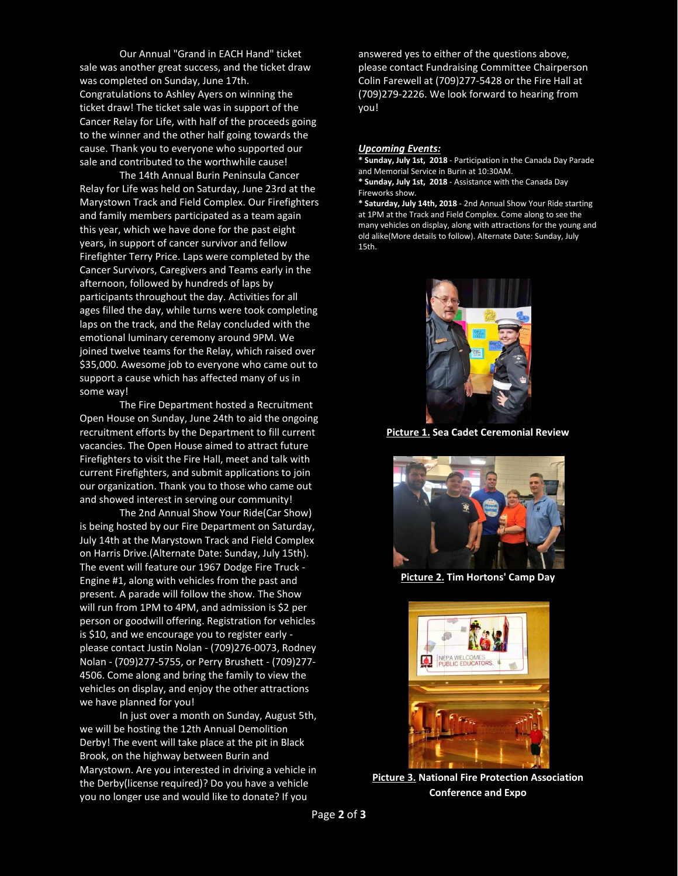Our Annual "Grand in EACH Hand" ticket sale was another great success, and the ticket draw was completed on Sunday, June 17th. Congratulations to Ashley Ayers on winning the ticket draw! The ticket sale was in support of the Cancer Relay for Life, with half of the proceeds going to the winner and the other half going towards the cause. Thank you to everyone who supported our sale and contributed to the worthwhile cause!

The 14th Annual Burin Peninsula Cancer Relay for Life was held on Saturday, June 23rd at the Marystown Track and Field Complex. Our Firefighters and family members participated as a team again this year, which we have done for the past eight years, in support of cancer survivor and fellow Firefighter Terry Price. Laps were completed by the Cancer Survivors, Caregivers and Teams early in the afternoon, followed by hundreds of laps by participants throughout the day. Activities for all ages filled the day, while turns were took completing laps on the track, and the Relay concluded with the emotional luminary ceremony around 9PM. We joined twelve teams for the Relay, which raised over \$35,000. Awesome job to everyone who came out to support a cause which has affected many of us in some way!

The Fire Department hosted a Recruitment Open House on Sunday, June 24th to aid the ongoing recruitment efforts by the Department to fill current vacancies. The Open House aimed to attract future Firefighters to visit the Fire Hall, meet and talk with current Firefighters, and submit applications to join our organization. Thank you to those who came out and showed interest in serving our community!

The 2nd Annual Show Your Ride(Car Show) is being hosted by our Fire Department on Saturday, July 14th at the Marystown Track and Field Complex on Harris Drive.(Alternate Date: Sunday, July 15th). The event will feature our 1967 Dodge Fire Truck - Engine #1, along with vehicles from the past and present. A parade will follow the show. The Show will run from 1PM to 4PM, and admission is \$2 per person or goodwill offering. Registration for vehicles is \$10, and we encourage you to register early please contact Justin Nolan - (709)276-0073, Rodney Nolan - (709)277-5755, or Perry Brushett - (709)277- 4506. Come along and bring the family to view the vehicles on display, and enjoy the other attractions we have planned for you!

In just over a month on Sunday, August 5th, we will be hosting the 12th Annual Demolition Derby! The event will take place at the pit in Black Brook, on the highway between Burin and Marystown. Are you interested in driving a vehicle in the Derby(license required)? Do you have a vehicle you no longer use and would like to donate? If you

answered yes to either of the questions above, please contact Fundraising Committee Chairperson Colin Farewell at (709)277-5428 or the Fire Hall at (709)279-2226. We look forward to hearing from you!

## *Upcoming Events:*

**\* Sunday, July 1st, 2018** - Participation in the Canada Day Parade and Memorial Service in Burin at 10:30AM. **\* Sunday, July 1st, 2018** - Assistance with the Canada Day Fireworks show. **\* Saturday, July 14th, 2018** - 2nd Annual Show Your Ride starting

at 1PM at the Track and Field Complex. Come along to see the many vehicles on display, along with attractions for the young and old alike(More details to follow). Alternate Date: Sunday, July 15th.



**Picture 1. Sea Cadet Ceremonial Review**



**Picture 2. Tim Hortons' Camp Day**



**Picture 3. National Fire Protection Association Conference and Expo**